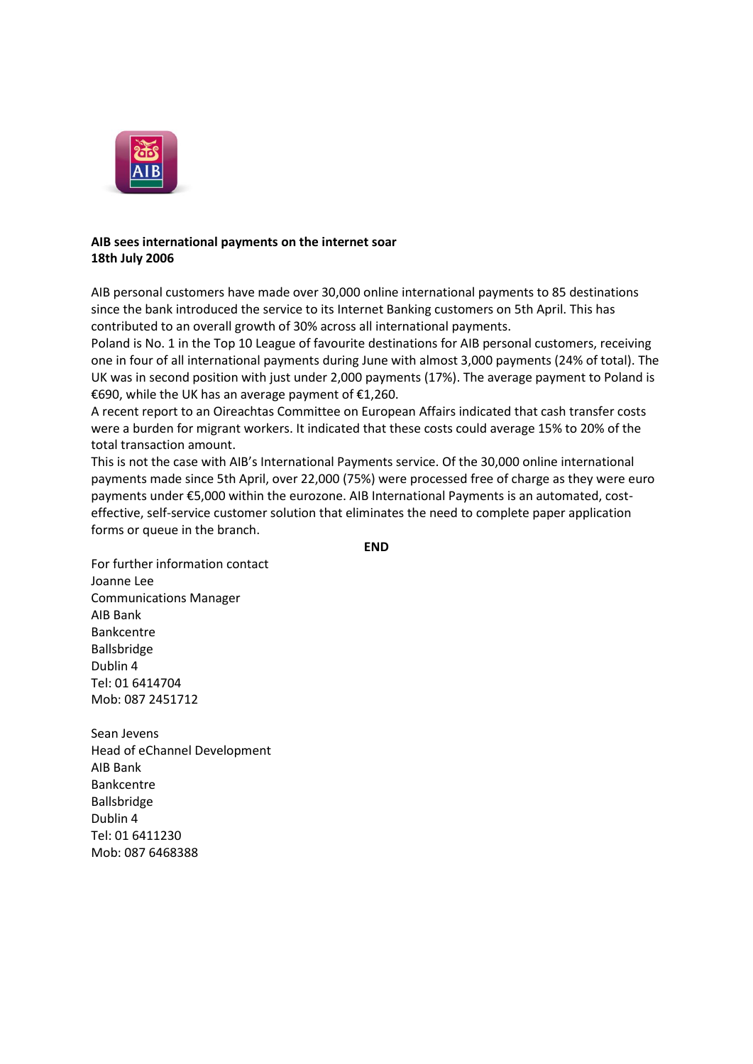

## **AIB sees international payments on the internet soar 18th July 2006**

AIB personal customers have made over 30,000 online international payments to 85 destinations since the bank introduced the service to its Internet Banking customers on 5th April. This has contributed to an overall growth of 30% across all international payments.

Poland is No. 1 in the Top 10 League of favourite destinations for AIB personal customers, receiving one in four of all international payments during June with almost 3,000 payments (24% of total). The UK was in second position with just under 2,000 payments (17%). The average payment to Poland is €690, while the UK has an average payment of €1,260.

A recent report to an Oireachtas Committee on European Affairs indicated that cash transfer costs were a burden for migrant workers. It indicated that these costs could average 15% to 20% of the total transaction amount.

This is not the case with AIB's International Payments service. Of the 30,000 online international payments made since 5th April, over 22,000 (75%) were processed free of charge as they were euro payments under €5,000 within the eurozone. AIB International Payments is an automated, costeffective, self-service customer solution that eliminates the need to complete paper application forms or queue in the branch.

**END**

For further information contact Joanne Lee Communications Manager AIB Bank Bankcentre Ballsbridge Dublin 4 Tel: 01 6414704 Mob: 087 2451712

Sean Jevens Head of eChannel Development AIB Bank Bankcentre Ballsbridge Dublin 4 Tel: 01 6411230 Mob: 087 6468388